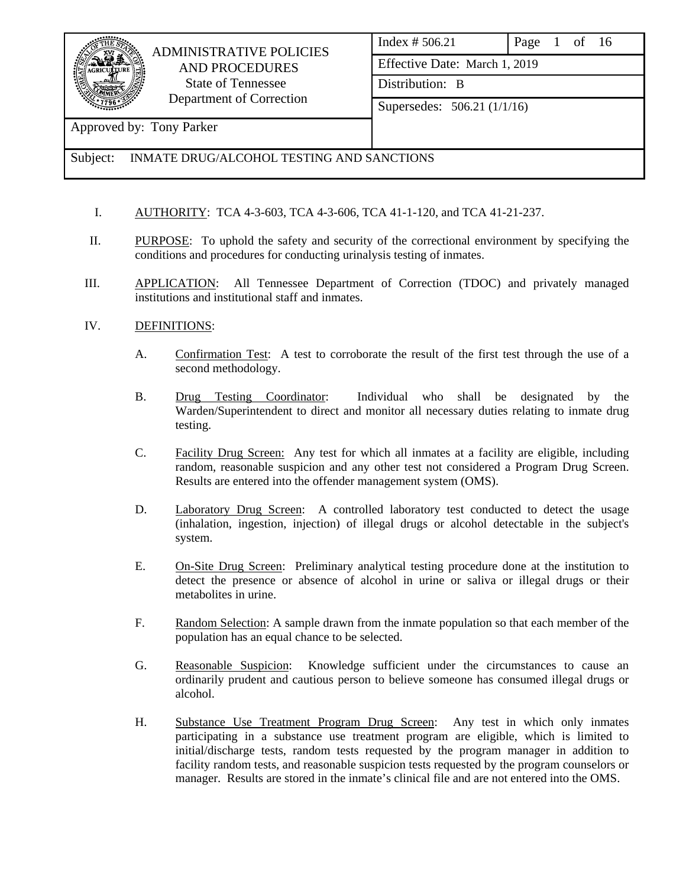

# ADMINISTRATIVE POLICIES AND PROCEDURES State of Tennessee Department of Correction

|                               | Index # 506.21              | Page 1 of 16 |  |  |  |  |
|-------------------------------|-----------------------------|--------------|--|--|--|--|
| Effective Date: March 1, 2019 |                             |              |  |  |  |  |
|                               | Distribution: B             |              |  |  |  |  |
|                               | Supersedes: 506.21 (1/1/16) |              |  |  |  |  |

# Approved by: Tony Parker

# Subject: INMATE DRUG/ALCOHOL TESTING AND SANCTIONS

- I. AUTHORITY: TCA 4-3-603, TCA 4-3-606, TCA 41-1-120, and TCA 41-21-237.
- II. PURPOSE: To uphold the safety and security of the correctional environment by specifying the conditions and procedures for conducting urinalysis testing of inmates.
- III. APPLICATION: All Tennessee Department of Correction (TDOC) and privately managed institutions and institutional staff and inmates.

#### IV. DEFINITIONS:

- A. Confirmation Test: A test to corroborate the result of the first test through the use of a second methodology.
- B. Drug Testing Coordinator: Individual who shall be designated by the Warden/Superintendent to direct and monitor all necessary duties relating to inmate drug testing.
- C. Facility Drug Screen: Any test for which all inmates at a facility are eligible, including random, reasonable suspicion and any other test not considered a Program Drug Screen. Results are entered into the offender management system (OMS).
- D. Laboratory Drug Screen: A controlled laboratory test conducted to detect the usage (inhalation, ingestion, injection) of illegal drugs or alcohol detectable in the subject's system.
- E. On-Site Drug Screen: Preliminary analytical testing procedure done at the institution to detect the presence or absence of alcohol in urine or saliva or illegal drugs or their metabolites in urine.
- F. Random Selection: A sample drawn from the inmate population so that each member of the population has an equal chance to be selected.
- G. Reasonable Suspicion: Knowledge sufficient under the circumstances to cause an ordinarily prudent and cautious person to believe someone has consumed illegal drugs or alcohol.
- H. Substance Use Treatment Program Drug Screen: Any test in which only inmates participating in a substance use treatment program are eligible, which is limited to initial/discharge tests, random tests requested by the program manager in addition to facility random tests, and reasonable suspicion tests requested by the program counselors or manager. Results are stored in the inmate's clinical file and are not entered into the OMS.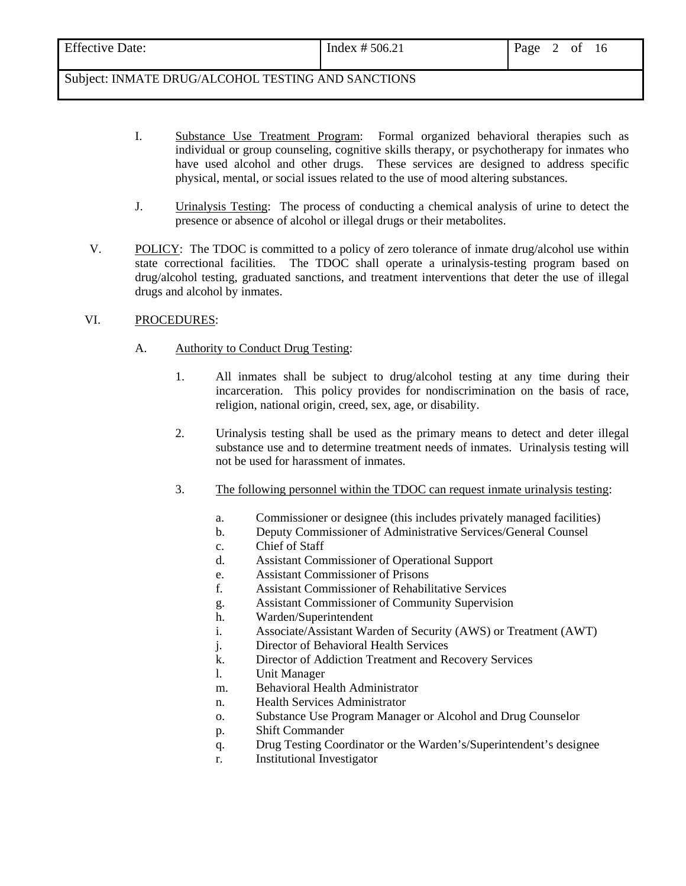| <b>Effective Date:</b>                             | Index $# 506.21$ | Page<br>2 of 16 |
|----------------------------------------------------|------------------|-----------------|
| Subject: INMATE DRUG/ALCOHOL TESTING AND SANCTIONS |                  |                 |

I. Substance Use Treatment Program: Formal organized behavioral therapies such as individual or group counseling, cognitive skills therapy, or psychotherapy for inmates who have used alcohol and other drugs. These services are designed to address specific physical, mental, or social issues related to the use of mood altering substances.

- J. Urinalysis Testing: The process of conducting a chemical analysis of urine to detect the presence or absence of alcohol or illegal drugs or their metabolites.
- V. POLICY: The TDOC is committed to a policy of zero tolerance of inmate drug/alcohol use within state correctional facilities. The TDOC shall operate a urinalysis-testing program based on drug/alcohol testing, graduated sanctions, and treatment interventions that deter the use of illegal drugs and alcohol by inmates.

#### VI. PROCEDURES:

- A. Authority to Conduct Drug Testing:
	- 1. All inmates shall be subject to drug/alcohol testing at any time during their incarceration. This policy provides for nondiscrimination on the basis of race, religion, national origin, creed, sex, age, or disability.
	- 2. Urinalysis testing shall be used as the primary means to detect and deter illegal substance use and to determine treatment needs of inmates. Urinalysis testing will not be used for harassment of inmates.
	- 3. The following personnel within the TDOC can request inmate urinalysis testing:
		- a. Commissioner or designee (this includes privately managed facilities)
		- b. Deputy Commissioner of Administrative Services/General Counsel
		- c. Chief of Staff
		- d. Assistant Commissioner of Operational Support
		- e. Assistant Commissioner of Prisons
		- f. Assistant Commissioner of Rehabilitative Services
		- g. Assistant Commissioner of Community Supervision
		- h. Warden/Superintendent
		- i. Associate/Assistant Warden of Security (AWS) or Treatment (AWT)
		- j. Director of Behavioral Health Services
		- k. Director of Addiction Treatment and Recovery Services
		- l. Unit Manager
		- m. Behavioral Health Administrator
		- n. Health Services Administrator
		- o. Substance Use Program Manager or Alcohol and Drug Counselor
		- p. Shift Commander
		- q. Drug Testing Coordinator or the Warden's/Superintendent's designee
		- r. Institutional Investigator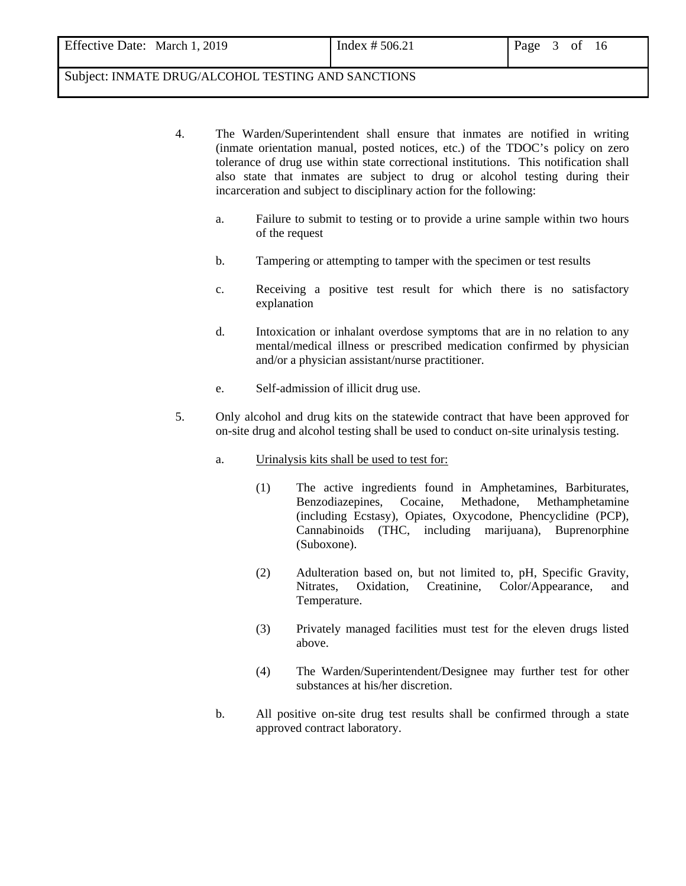- 4. The Warden/Superintendent shall ensure that inmates are notified in writing (inmate orientation manual, posted notices, etc.) of the TDOC's policy on zero tolerance of drug use within state correctional institutions. This notification shall also state that inmates are subject to drug or alcohol testing during their incarceration and subject to disciplinary action for the following:
	- a. Failure to submit to testing or to provide a urine sample within two hours of the request
	- b. Tampering or attempting to tamper with the specimen or test results
	- c. Receiving a positive test result for which there is no satisfactory explanation
	- d. Intoxication or inhalant overdose symptoms that are in no relation to any mental/medical illness or prescribed medication confirmed by physician and/or a physician assistant/nurse practitioner.
	- e. Self-admission of illicit drug use.
- 5. Only alcohol and drug kits on the statewide contract that have been approved for on-site drug and alcohol testing shall be used to conduct on-site urinalysis testing.
	- a. Urinalysis kits shall be used to test for:
		- (1) The active ingredients found in Amphetamines, Barbiturates, Benzodiazepines, Cocaine, Methadone, Methamphetamine (including Ecstasy), Opiates, Oxycodone, Phencyclidine (PCP), Cannabinoids (THC, including marijuana), Buprenorphine (Suboxone).
		- (2) Adulteration based on, but not limited to, pH, Specific Gravity, Nitrates, Oxidation, Creatinine, Color/Appearance, and Temperature.
		- (3) Privately managed facilities must test for the eleven drugs listed above.
		- (4) The Warden/Superintendent/Designee may further test for other substances at his/her discretion.
	- b. All positive on-site drug test results shall be confirmed through a state approved contract laboratory.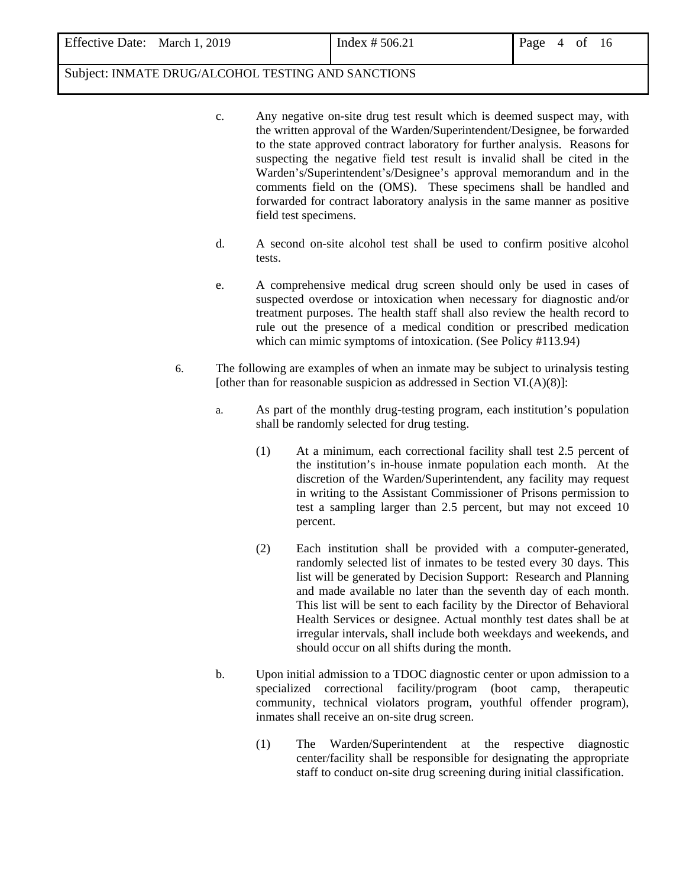- c. Any negative on-site drug test result which is deemed suspect may, with the written approval of the Warden/Superintendent/Designee, be forwarded to the state approved contract laboratory for further analysis. Reasons for suspecting the negative field test result is invalid shall be cited in the Warden's/Superintendent's/Designee's approval memorandum and in the comments field on the (OMS). These specimens shall be handled and forwarded for contract laboratory analysis in the same manner as positive field test specimens.
- d. A second on-site alcohol test shall be used to confirm positive alcohol tests.
- e. A comprehensive medical drug screen should only be used in cases of suspected overdose or intoxication when necessary for diagnostic and/or treatment purposes. The health staff shall also review the health record to rule out the presence of a medical condition or prescribed medication which can mimic symptoms of intoxication. (See Policy #113.94)
- 6. The following are examples of when an inmate may be subject to urinalysis testing [other than for reasonable suspicion as addressed in Section VI.(A)(8)]:
	- a. As part of the monthly drug-testing program, each institution's population shall be randomly selected for drug testing.
		- (1) At a minimum, each correctional facility shall test 2.5 percent of the institution's in-house inmate population each month. At the discretion of the Warden/Superintendent, any facility may request in writing to the Assistant Commissioner of Prisons permission to test a sampling larger than 2.5 percent, but may not exceed 10 percent.
		- (2) Each institution shall be provided with a computer-generated, randomly selected list of inmates to be tested every 30 days. This list will be generated by Decision Support: Research and Planning and made available no later than the seventh day of each month. This list will be sent to each facility by the Director of Behavioral Health Services or designee. Actual monthly test dates shall be at irregular intervals, shall include both weekdays and weekends, and should occur on all shifts during the month.
	- b. Upon initial admission to a TDOC diagnostic center or upon admission to a specialized correctional facility/program (boot camp, therapeutic community, technical violators program, youthful offender program), inmates shall receive an on-site drug screen.
		- (1) The Warden/Superintendent at the respective diagnostic center/facility shall be responsible for designating the appropriate staff to conduct on-site drug screening during initial classification.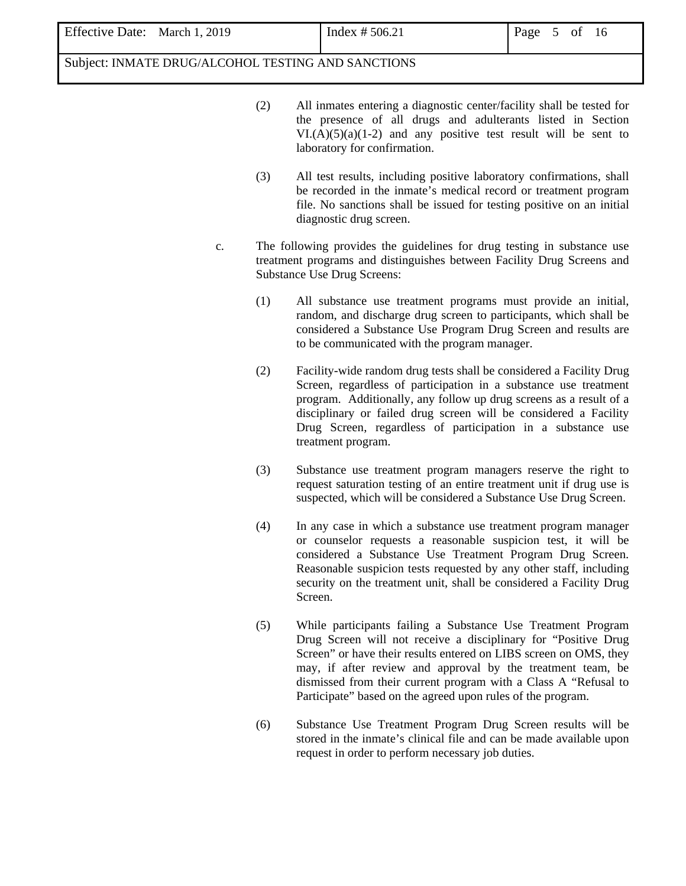- (2) All inmates entering a diagnostic center/facility shall be tested for the presence of all drugs and adulterants listed in Section  $VI(A)(5)(a)(1-2)$  and any positive test result will be sent to laboratory for confirmation.
- (3) All test results, including positive laboratory confirmations, shall be recorded in the inmate's medical record or treatment program file. No sanctions shall be issued for testing positive on an initial diagnostic drug screen.
- c. The following provides the guidelines for drug testing in substance use treatment programs and distinguishes between Facility Drug Screens and Substance Use Drug Screens:
	- (1) All substance use treatment programs must provide an initial, random, and discharge drug screen to participants, which shall be considered a Substance Use Program Drug Screen and results are to be communicated with the program manager.
	- (2) Facility-wide random drug tests shall be considered a Facility Drug Screen, regardless of participation in a substance use treatment program. Additionally, any follow up drug screens as a result of a disciplinary or failed drug screen will be considered a Facility Drug Screen, regardless of participation in a substance use treatment program.
	- (3) Substance use treatment program managers reserve the right to request saturation testing of an entire treatment unit if drug use is suspected, which will be considered a Substance Use Drug Screen.
	- (4) In any case in which a substance use treatment program manager or counselor requests a reasonable suspicion test, it will be considered a Substance Use Treatment Program Drug Screen. Reasonable suspicion tests requested by any other staff, including security on the treatment unit, shall be considered a Facility Drug Screen.
	- (5) While participants failing a Substance Use Treatment Program Drug Screen will not receive a disciplinary for "Positive Drug Screen" or have their results entered on LIBS screen on OMS, they may, if after review and approval by the treatment team, be dismissed from their current program with a Class A "Refusal to Participate" based on the agreed upon rules of the program.
	- (6) Substance Use Treatment Program Drug Screen results will be stored in the inmate's clinical file and can be made available upon request in order to perform necessary job duties.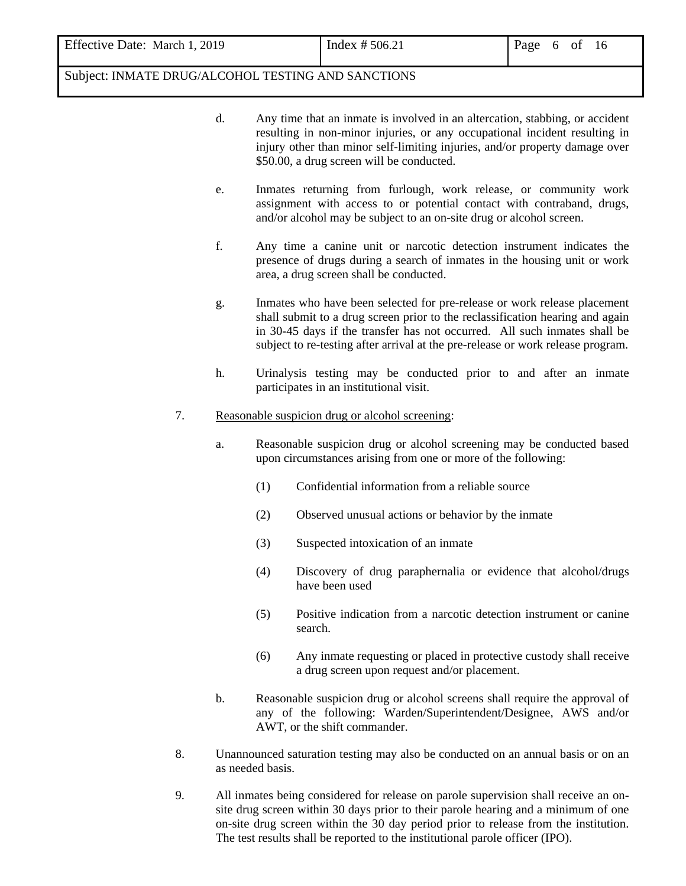- d. Any time that an inmate is involved in an altercation, stabbing, or accident resulting in non-minor injuries, or any occupational incident resulting in injury other than minor self-limiting injuries, and/or property damage over \$50.00, a drug screen will be conducted.
- e. Inmates returning from furlough, work release, or community work assignment with access to or potential contact with contraband, drugs, and/or alcohol may be subject to an on-site drug or alcohol screen.
- f. Any time a canine unit or narcotic detection instrument indicates the presence of drugs during a search of inmates in the housing unit or work area, a drug screen shall be conducted.
- g. Inmates who have been selected for pre-release or work release placement shall submit to a drug screen prior to the reclassification hearing and again in 30-45 days if the transfer has not occurred. All such inmates shall be subject to re-testing after arrival at the pre-release or work release program.
- h. Urinalysis testing may be conducted prior to and after an inmate participates in an institutional visit.
- 7. Reasonable suspicion drug or alcohol screening:
	- a. Reasonable suspicion drug or alcohol screening may be conducted based upon circumstances arising from one or more of the following:
		- (1) Confidential information from a reliable source
		- (2) Observed unusual actions or behavior by the inmate
		- (3) Suspected intoxication of an inmate
		- (4) Discovery of drug paraphernalia or evidence that alcohol/drugs have been used
		- (5) Positive indication from a narcotic detection instrument or canine search.
		- (6) Any inmate requesting or placed in protective custody shall receive a drug screen upon request and/or placement.
	- b. Reasonable suspicion drug or alcohol screens shall require the approval of any of the following: Warden/Superintendent/Designee, AWS and/or AWT, or the shift commander.
- 8. Unannounced saturation testing may also be conducted on an annual basis or on an as needed basis.
- 9. All inmates being considered for release on parole supervision shall receive an onsite drug screen within 30 days prior to their parole hearing and a minimum of one on-site drug screen within the 30 day period prior to release from the institution. The test results shall be reported to the institutional parole officer (IPO).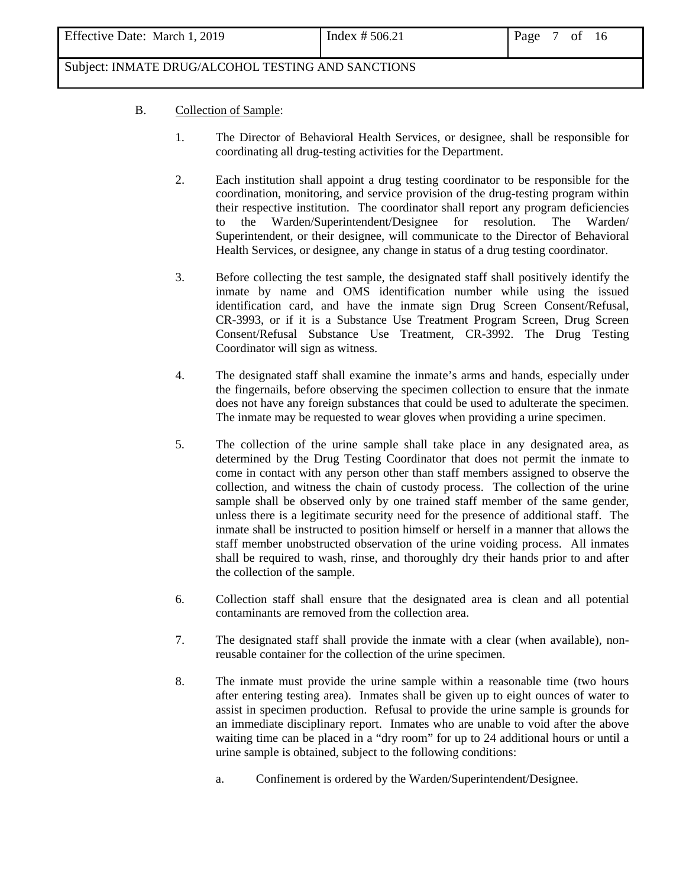# B. Collection of Sample:

- 1. The Director of Behavioral Health Services, or designee, shall be responsible for coordinating all drug-testing activities for the Department.
- 2. Each institution shall appoint a drug testing coordinator to be responsible for the coordination, monitoring, and service provision of the drug-testing program within their respective institution. The coordinator shall report any program deficiencies to the Warden/Superintendent/Designee for resolution. The Warden/ Superintendent, or their designee, will communicate to the Director of Behavioral Health Services, or designee, any change in status of a drug testing coordinator.
- 3. Before collecting the test sample, the designated staff shall positively identify the inmate by name and OMS identification number while using the issued identification card, and have the inmate sign Drug Screen Consent/Refusal, CR-3993, or if it is a Substance Use Treatment Program Screen, Drug Screen Consent/Refusal Substance Use Treatment, CR-3992. The Drug Testing Coordinator will sign as witness.
- 4. The designated staff shall examine the inmate's arms and hands, especially under the fingernails, before observing the specimen collection to ensure that the inmate does not have any foreign substances that could be used to adulterate the specimen. The inmate may be requested to wear gloves when providing a urine specimen.
- 5. The collection of the urine sample shall take place in any designated area, as determined by the Drug Testing Coordinator that does not permit the inmate to come in contact with any person other than staff members assigned to observe the collection, and witness the chain of custody process. The collection of the urine sample shall be observed only by one trained staff member of the same gender, unless there is a legitimate security need for the presence of additional staff. The inmate shall be instructed to position himself or herself in a manner that allows the staff member unobstructed observation of the urine voiding process. All inmates shall be required to wash, rinse, and thoroughly dry their hands prior to and after the collection of the sample.
- 6. Collection staff shall ensure that the designated area is clean and all potential contaminants are removed from the collection area.
- 7. The designated staff shall provide the inmate with a clear (when available), nonreusable container for the collection of the urine specimen.
- 8. The inmate must provide the urine sample within a reasonable time (two hours after entering testing area). Inmates shall be given up to eight ounces of water to assist in specimen production. Refusal to provide the urine sample is grounds for an immediate disciplinary report. Inmates who are unable to void after the above waiting time can be placed in a "dry room" for up to 24 additional hours or until a urine sample is obtained, subject to the following conditions:
	- a. Confinement is ordered by the Warden/Superintendent/Designee.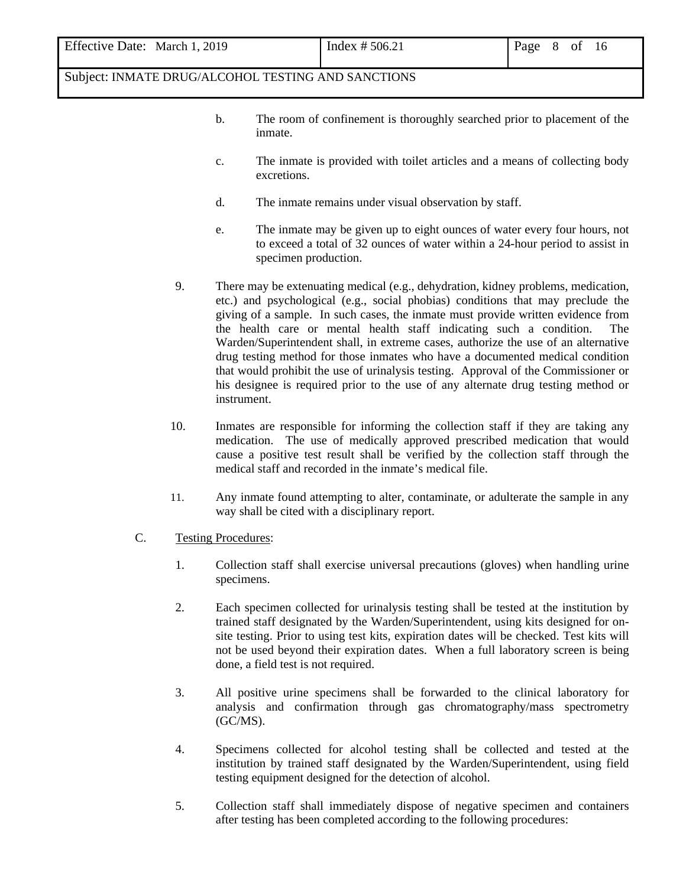| Effective Date: March 1, 2019 |
|-------------------------------|
|                               |

- b. The room of confinement is thoroughly searched prior to placement of the inmate.
- c. The inmate is provided with toilet articles and a means of collecting body excretions.
- d. The inmate remains under visual observation by staff.
- e. The inmate may be given up to eight ounces of water every four hours, not to exceed a total of 32 ounces of water within a 24-hour period to assist in specimen production.
- 9. There may be extenuating medical (e.g., dehydration, kidney problems, medication, etc.) and psychological (e.g., social phobias) conditions that may preclude the giving of a sample. In such cases, the inmate must provide written evidence from the health care or mental health staff indicating such a condition. The Warden/Superintendent shall, in extreme cases, authorize the use of an alternative drug testing method for those inmates who have a documented medical condition that would prohibit the use of urinalysis testing. Approval of the Commissioner or his designee is required prior to the use of any alternate drug testing method or instrument.
- 10. Inmates are responsible for informing the collection staff if they are taking any medication. The use of medically approved prescribed medication that would cause a positive test result shall be verified by the collection staff through the medical staff and recorded in the inmate's medical file.
- 11. Any inmate found attempting to alter, contaminate, or adulterate the sample in any way shall be cited with a disciplinary report.
- C. Testing Procedures:
	- 1. Collection staff shall exercise universal precautions (gloves) when handling urine specimens.
	- 2. Each specimen collected for urinalysis testing shall be tested at the institution by trained staff designated by the Warden/Superintendent, using kits designed for onsite testing. Prior to using test kits, expiration dates will be checked. Test kits will not be used beyond their expiration dates. When a full laboratory screen is being done, a field test is not required.
	- 3. All positive urine specimens shall be forwarded to the clinical laboratory for analysis and confirmation through gas chromatography/mass spectrometry (GC/MS).
	- 4. Specimens collected for alcohol testing shall be collected and tested at the institution by trained staff designated by the Warden/Superintendent, using field testing equipment designed for the detection of alcohol.
	- 5. Collection staff shall immediately dispose of negative specimen and containers after testing has been completed according to the following procedures: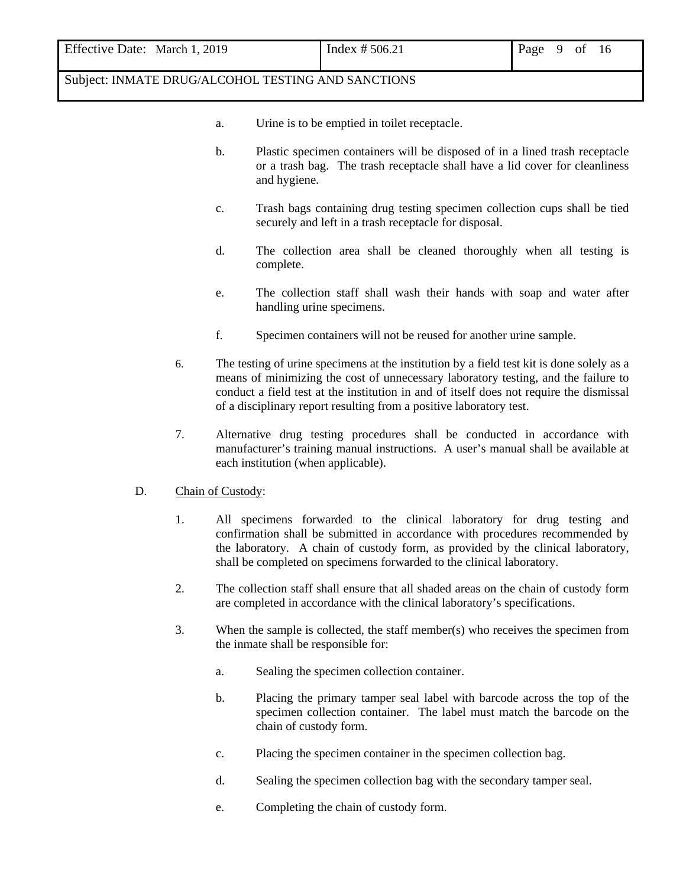| Effective Date: March 1, 2019 |
|-------------------------------|
|                               |

- a. Urine is to be emptied in toilet receptacle.
- b. Plastic specimen containers will be disposed of in a lined trash receptacle or a trash bag. The trash receptacle shall have a lid cover for cleanliness and hygiene.
- c. Trash bags containing drug testing specimen collection cups shall be tied securely and left in a trash receptacle for disposal.
- d. The collection area shall be cleaned thoroughly when all testing is complete.
- e. The collection staff shall wash their hands with soap and water after handling urine specimens.
- f. Specimen containers will not be reused for another urine sample.
- 6. The testing of urine specimens at the institution by a field test kit is done solely as a means of minimizing the cost of unnecessary laboratory testing, and the failure to conduct a field test at the institution in and of itself does not require the dismissal of a disciplinary report resulting from a positive laboratory test.
- 7. Alternative drug testing procedures shall be conducted in accordance with manufacturer's training manual instructions. A user's manual shall be available at each institution (when applicable).

#### D. Chain of Custody:

- 1. All specimens forwarded to the clinical laboratory for drug testing and confirmation shall be submitted in accordance with procedures recommended by the laboratory. A chain of custody form, as provided by the clinical laboratory, shall be completed on specimens forwarded to the clinical laboratory.
- 2. The collection staff shall ensure that all shaded areas on the chain of custody form are completed in accordance with the clinical laboratory's specifications.
- 3. When the sample is collected, the staff member(s) who receives the specimen from the inmate shall be responsible for:
	- a. Sealing the specimen collection container.
	- b. Placing the primary tamper seal label with barcode across the top of the specimen collection container. The label must match the barcode on the chain of custody form.
	- c. Placing the specimen container in the specimen collection bag.
	- d. Sealing the specimen collection bag with the secondary tamper seal.
	- e. Completing the chain of custody form.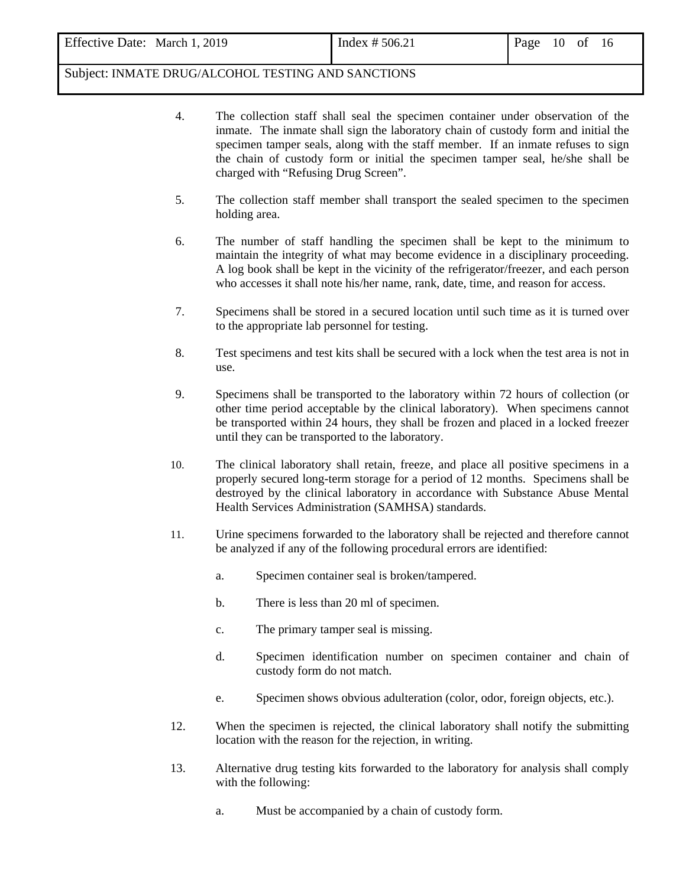- 4. The collection staff shall seal the specimen container under observation of the inmate. The inmate shall sign the laboratory chain of custody form and initial the specimen tamper seals, along with the staff member. If an inmate refuses to sign the chain of custody form or initial the specimen tamper seal, he/she shall be charged with "Refusing Drug Screen".
- 5. The collection staff member shall transport the sealed specimen to the specimen holding area.
- 6. The number of staff handling the specimen shall be kept to the minimum to maintain the integrity of what may become evidence in a disciplinary proceeding. A log book shall be kept in the vicinity of the refrigerator/freezer, and each person who accesses it shall note his/her name, rank, date, time, and reason for access.
- 7. Specimens shall be stored in a secured location until such time as it is turned over to the appropriate lab personnel for testing.
- 8. Test specimens and test kits shall be secured with a lock when the test area is not in use.
- 9. Specimens shall be transported to the laboratory within 72 hours of collection (or other time period acceptable by the clinical laboratory). When specimens cannot be transported within 24 hours, they shall be frozen and placed in a locked freezer until they can be transported to the laboratory.
- 10. The clinical laboratory shall retain, freeze, and place all positive specimens in a properly secured long-term storage for a period of 12 months. Specimens shall be destroyed by the clinical laboratory in accordance with Substance Abuse Mental Health Services Administration (SAMHSA) standards.
- 11. Urine specimens forwarded to the laboratory shall be rejected and therefore cannot be analyzed if any of the following procedural errors are identified:
	- a. Specimen container seal is broken/tampered.
	- b. There is less than 20 ml of specimen.
	- c. The primary tamper seal is missing.
	- d. Specimen identification number on specimen container and chain of custody form do not match.
	- e. Specimen shows obvious adulteration (color, odor, foreign objects, etc.).
- 12. When the specimen is rejected, the clinical laboratory shall notify the submitting location with the reason for the rejection, in writing.
- 13. Alternative drug testing kits forwarded to the laboratory for analysis shall comply with the following:
	- a. Must be accompanied by a chain of custody form.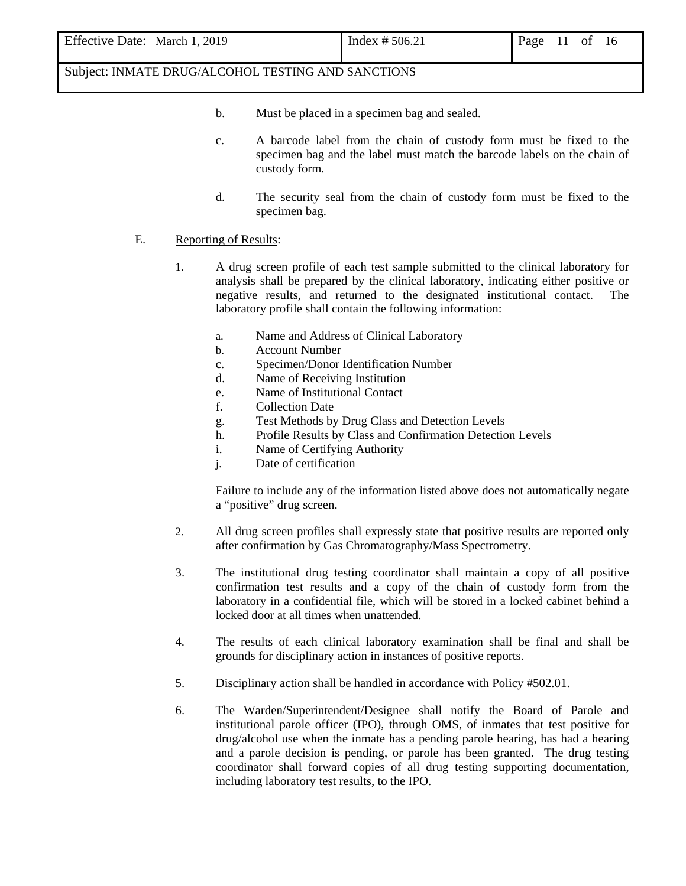- b. Must be placed in a specimen bag and sealed.
- c. A barcode label from the chain of custody form must be fixed to the specimen bag and the label must match the barcode labels on the chain of custody form.
- d. The security seal from the chain of custody form must be fixed to the specimen bag.

#### E. Reporting of Results:

- 1. A drug screen profile of each test sample submitted to the clinical laboratory for analysis shall be prepared by the clinical laboratory, indicating either positive or negative results, and returned to the designated institutional contact. The laboratory profile shall contain the following information:
	- a. Name and Address of Clinical Laboratory
	- b. Account Number
	- c. Specimen/Donor Identification Number
	- d. Name of Receiving Institution
	- e. Name of Institutional Contact
	- f. Collection Date
	- g. Test Methods by Drug Class and Detection Levels
	- h. Profile Results by Class and Confirmation Detection Levels
	- i. Name of Certifying Authority
	- j. Date of certification

Failure to include any of the information listed above does not automatically negate a "positive" drug screen.

- 2. All drug screen profiles shall expressly state that positive results are reported only after confirmation by Gas Chromatography/Mass Spectrometry.
- 3. The institutional drug testing coordinator shall maintain a copy of all positive confirmation test results and a copy of the chain of custody form from the laboratory in a confidential file, which will be stored in a locked cabinet behind a locked door at all times when unattended.
- 4. The results of each clinical laboratory examination shall be final and shall be grounds for disciplinary action in instances of positive reports.
- 5. Disciplinary action shall be handled in accordance with Policy #502.01.
- 6. The Warden/Superintendent/Designee shall notify the Board of Parole and institutional parole officer (IPO), through OMS, of inmates that test positive for drug/alcohol use when the inmate has a pending parole hearing, has had a hearing and a parole decision is pending, or parole has been granted. The drug testing coordinator shall forward copies of all drug testing supporting documentation, including laboratory test results, to the IPO.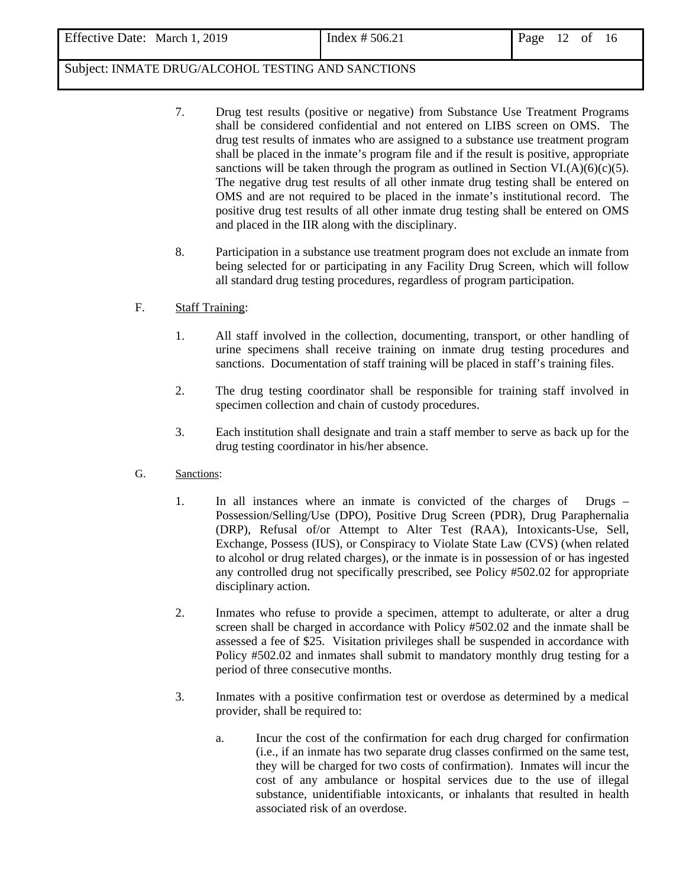- 7. Drug test results (positive or negative) from Substance Use Treatment Programs shall be considered confidential and not entered on LIBS screen on OMS. The drug test results of inmates who are assigned to a substance use treatment program shall be placed in the inmate's program file and if the result is positive, appropriate sanctions will be taken through the program as outlined in Section VI.(A)(6)(c)(5). The negative drug test results of all other inmate drug testing shall be entered on OMS and are not required to be placed in the inmate's institutional record. The positive drug test results of all other inmate drug testing shall be entered on OMS and placed in the IIR along with the disciplinary.
- 8. Participation in a substance use treatment program does not exclude an inmate from being selected for or participating in any Facility Drug Screen, which will follow all standard drug testing procedures, regardless of program participation.

## F. Staff Training:

- 1. All staff involved in the collection, documenting, transport, or other handling of urine specimens shall receive training on inmate drug testing procedures and sanctions. Documentation of staff training will be placed in staff's training files.
- 2. The drug testing coordinator shall be responsible for training staff involved in specimen collection and chain of custody procedures.
- 3. Each institution shall designate and train a staff member to serve as back up for the drug testing coordinator in his/her absence.
- G. Sanctions:
	- 1. In all instances where an inmate is convicted of the charges of Drugs Possession/Selling/Use (DPO), Positive Drug Screen (PDR), Drug Paraphernalia (DRP), Refusal of/or Attempt to Alter Test (RAA), Intoxicants-Use, Sell, Exchange, Possess (IUS), or Conspiracy to Violate State Law (CVS) (when related to alcohol or drug related charges), or the inmate is in possession of or has ingested any controlled drug not specifically prescribed, see Policy #502.02 for appropriate disciplinary action.
	- 2. Inmates who refuse to provide a specimen, attempt to adulterate, or alter a drug screen shall be charged in accordance with Policy #502.02 and the inmate shall be assessed a fee of \$25. Visitation privileges shall be suspended in accordance with Policy #502.02 and inmates shall submit to mandatory monthly drug testing for a period of three consecutive months.
	- 3. Inmates with a positive confirmation test or overdose as determined by a medical provider, shall be required to:
		- a. Incur the cost of the confirmation for each drug charged for confirmation (i.e., if an inmate has two separate drug classes confirmed on the same test, they will be charged for two costs of confirmation). Inmates will incur the cost of any ambulance or hospital services due to the use of illegal substance, unidentifiable intoxicants, or inhalants that resulted in health associated risk of an overdose.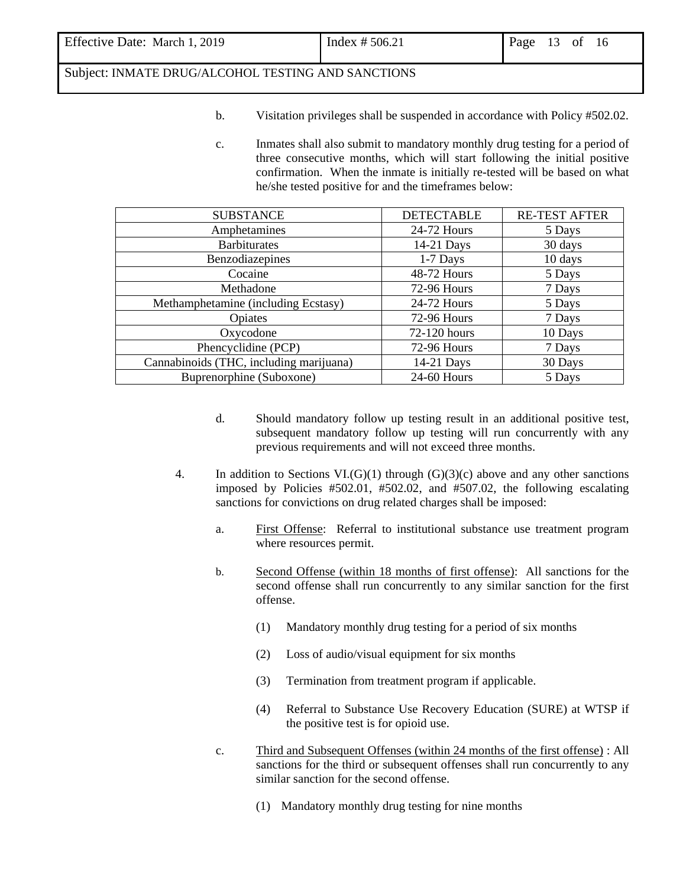- b. Visitation privileges shall be suspended in accordance with Policy #502.02.
- c. Inmates shall also submit to mandatory monthly drug testing for a period of three consecutive months, which will start following the initial positive confirmation. When the inmate is initially re-tested will be based on what he/she tested positive for and the timeframes below:

| <b>SUBSTANCE</b>                        | <b>DETECTABLE</b> | <b>RE-TEST AFTER</b> |
|-----------------------------------------|-------------------|----------------------|
| Amphetamines                            | 24-72 Hours       | 5 Days               |
| <b>Barbiturates</b>                     | 14-21 Days        | 30 days              |
| Benzodiazepines                         | $1-7$ Days        | 10 days              |
| Cocaine                                 | 48-72 Hours       | 5 Days               |
| Methadone                               | 72-96 Hours       | 7 Days               |
| Methamphetamine (including Ecstasy)     | 24-72 Hours       | 5 Days               |
| Opiates                                 | 72-96 Hours       | 7 Days               |
| Oxycodone                               | 72-120 hours      | 10 Days              |
| Phencyclidine (PCP)                     | 72-96 Hours       | 7 Days               |
| Cannabinoids (THC, including marijuana) | 14-21 Days        | 30 Days              |
| Buprenorphine (Suboxone)                | 24-60 Hours       | 5 Days               |

- d. Should mandatory follow up testing result in an additional positive test, subsequent mandatory follow up testing will run concurrently with any previous requirements and will not exceed three months.
- 4. In addition to Sections VI.(G)(1) through (G)(3)(c) above and any other sanctions imposed by Policies #502.01, #502.02, and #507.02, the following escalating sanctions for convictions on drug related charges shall be imposed:
	- a. First Offense: Referral to institutional substance use treatment program where resources permit.
	- b. Second Offense (within 18 months of first offense): All sanctions for the second offense shall run concurrently to any similar sanction for the first offense.
		- (1) Mandatory monthly drug testing for a period of six months
		- (2) Loss of audio/visual equipment for six months
		- (3) Termination from treatment program if applicable.
		- (4) Referral to Substance Use Recovery Education (SURE) at WTSP if the positive test is for opioid use.
	- c. Third and Subsequent Offenses (within 24 months of the first offense) : All sanctions for the third or subsequent offenses shall run concurrently to any similar sanction for the second offense.
		- (1) Mandatory monthly drug testing for nine months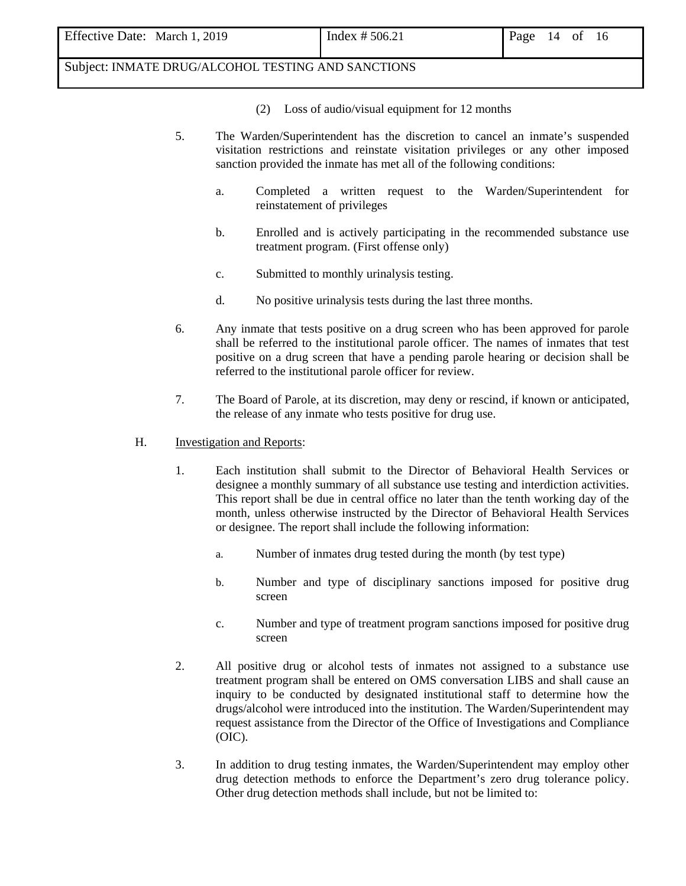- (2) Loss of audio/visual equipment for 12 months
- 5. The Warden/Superintendent has the discretion to cancel an inmate's suspended visitation restrictions and reinstate visitation privileges or any other imposed sanction provided the inmate has met all of the following conditions:
	- a. Completed a written request to the Warden/Superintendent for reinstatement of privileges
	- b. Enrolled and is actively participating in the recommended substance use treatment program. (First offense only)
	- c. Submitted to monthly urinalysis testing.
	- d. No positive urinalysis tests during the last three months.
- 6. Any inmate that tests positive on a drug screen who has been approved for parole shall be referred to the institutional parole officer. The names of inmates that test positive on a drug screen that have a pending parole hearing or decision shall be referred to the institutional parole officer for review.
- 7. The Board of Parole, at its discretion, may deny or rescind, if known or anticipated, the release of any inmate who tests positive for drug use.

#### H. Investigation and Reports:

- 1. Each institution shall submit to the Director of Behavioral Health Services or designee a monthly summary of all substance use testing and interdiction activities. This report shall be due in central office no later than the tenth working day of the month, unless otherwise instructed by the Director of Behavioral Health Services or designee. The report shall include the following information:
	- a. Number of inmates drug tested during the month (by test type)
	- b. Number and type of disciplinary sanctions imposed for positive drug screen
	- c. Number and type of treatment program sanctions imposed for positive drug screen
- 2. All positive drug or alcohol tests of inmates not assigned to a substance use treatment program shall be entered on OMS conversation LIBS and shall cause an inquiry to be conducted by designated institutional staff to determine how the drugs/alcohol were introduced into the institution. The Warden/Superintendent may request assistance from the Director of the Office of Investigations and Compliance (OIC).
- 3. In addition to drug testing inmates, the Warden/Superintendent may employ other drug detection methods to enforce the Department's zero drug tolerance policy. Other drug detection methods shall include, but not be limited to: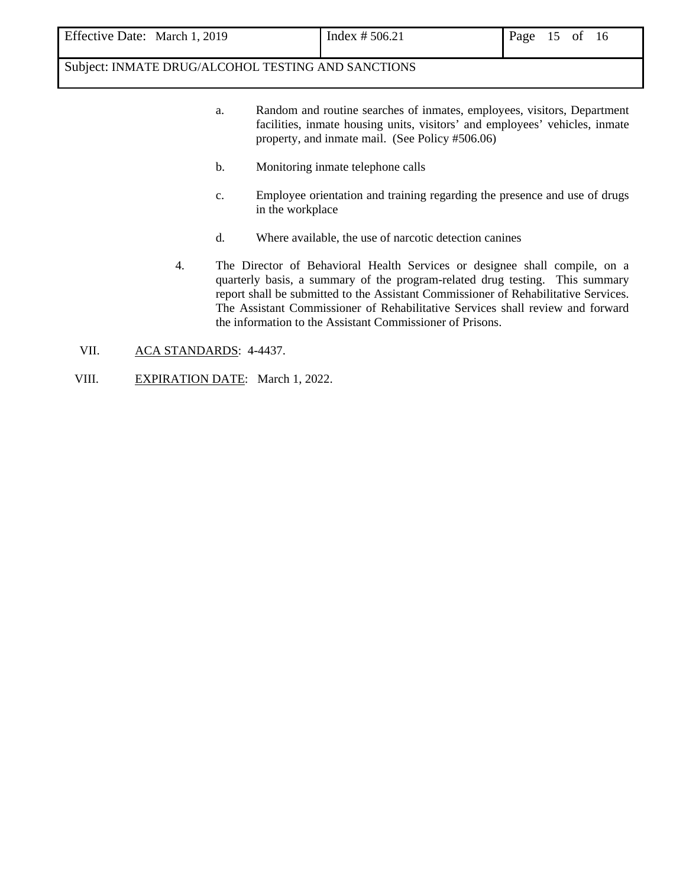| Effective Date: March 1, 2019 | Index # $506.21$ | Page 15 of 16 |  |  |  |
|-------------------------------|------------------|---------------|--|--|--|
|-------------------------------|------------------|---------------|--|--|--|

- a. Random and routine searches of inmates, employees, visitors, Department facilities, inmate housing units, visitors' and employees' vehicles, inmate property, and inmate mail. (See Policy #506.06)
- b. Monitoring inmate telephone calls
- c. Employee orientation and training regarding the presence and use of drugs in the workplace
- d. Where available, the use of narcotic detection canines
- 4. The Director of Behavioral Health Services or designee shall compile, on a quarterly basis, a summary of the program-related drug testing. This summary report shall be submitted to the Assistant Commissioner of Rehabilitative Services. The Assistant Commissioner of Rehabilitative Services shall review and forward the information to the Assistant Commissioner of Prisons.
- VII. ACA STANDARDS: 4-4437.
- VIII. EXPIRATION DATE: March 1, 2022.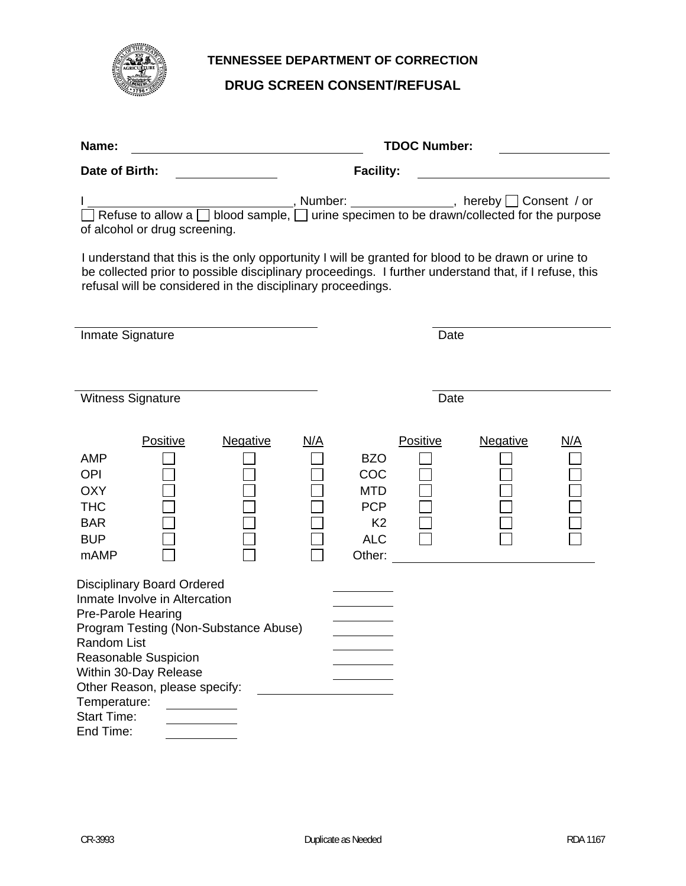

# **TENNESSEE DEPARTMENT OF CORRECTION**

# **DRUG SCREEN CONSENT/REFUSAL**

| <b>TDOC Number:</b><br>Name:                                                                                                                                                                                                                                                                 |                                                                                                                                      |  |  |  |  |  |
|----------------------------------------------------------------------------------------------------------------------------------------------------------------------------------------------------------------------------------------------------------------------------------------------|--------------------------------------------------------------------------------------------------------------------------------------|--|--|--|--|--|
| Date of Birth:                                                                                                                                                                                                                                                                               | <b>Facility:</b>                                                                                                                     |  |  |  |  |  |
| $\overline{\Box}$ Refuse to allow a $\overline{\Box}$ blood sample, $\overline{\Box}$ urine specimen to be drawn/collected for the purpose<br>of alcohol or drug screening.                                                                                                                  |                                                                                                                                      |  |  |  |  |  |
| I understand that this is the only opportunity I will be granted for blood to be drawn or urine to<br>be collected prior to possible disciplinary proceedings. I further understand that, if I refuse, this<br>refusal will be considered in the disciplinary proceedings.                   |                                                                                                                                      |  |  |  |  |  |
| Inmate Signature                                                                                                                                                                                                                                                                             | Date                                                                                                                                 |  |  |  |  |  |
| Witness Signature                                                                                                                                                                                                                                                                            | Date                                                                                                                                 |  |  |  |  |  |
| Positive<br><b>Negative</b><br><u>N/A</u><br><b>AMP</b><br><b>OPI</b><br><b>OXY</b><br><b>THC</b><br><b>BAR</b><br><b>BUP</b><br>mAMP                                                                                                                                                        | Positive<br><b>Negative</b><br><u>N/A</u><br><b>BZO</b><br>COC<br><b>MTD</b><br><b>PCP</b><br>K <sub>2</sub><br><b>ALC</b><br>Other: |  |  |  |  |  |
| <b>Disciplinary Board Ordered</b><br>Inmate Involve in Altercation<br>Pre-Parole Hearing<br>Program Testing (Non-Substance Abuse)<br>Random List<br><b>Reasonable Suspicion</b><br>Within 30-Day Release<br>Other Reason, please specify:<br>Temperature:<br><b>Start Time:</b><br>End Time: |                                                                                                                                      |  |  |  |  |  |